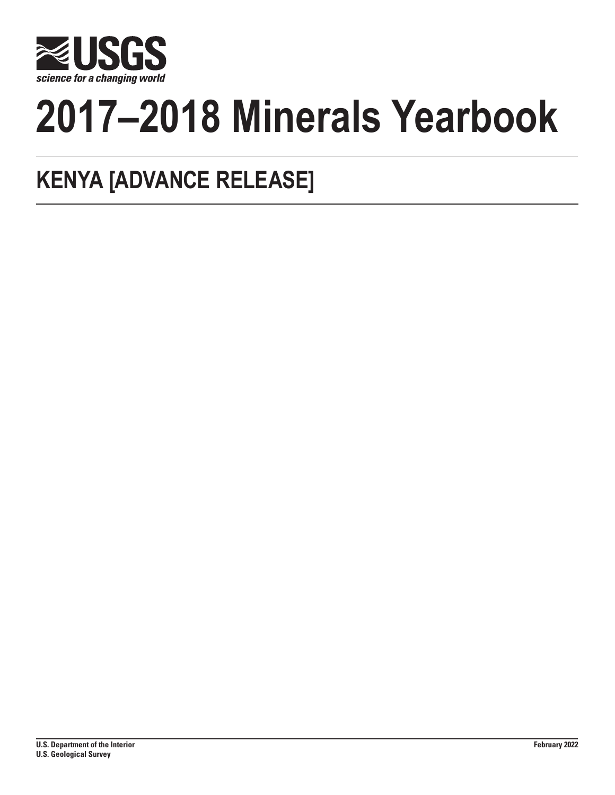

# **2017–2018 Minerals Yearbook**

# **KENYA [ADVANCE RELEASE]**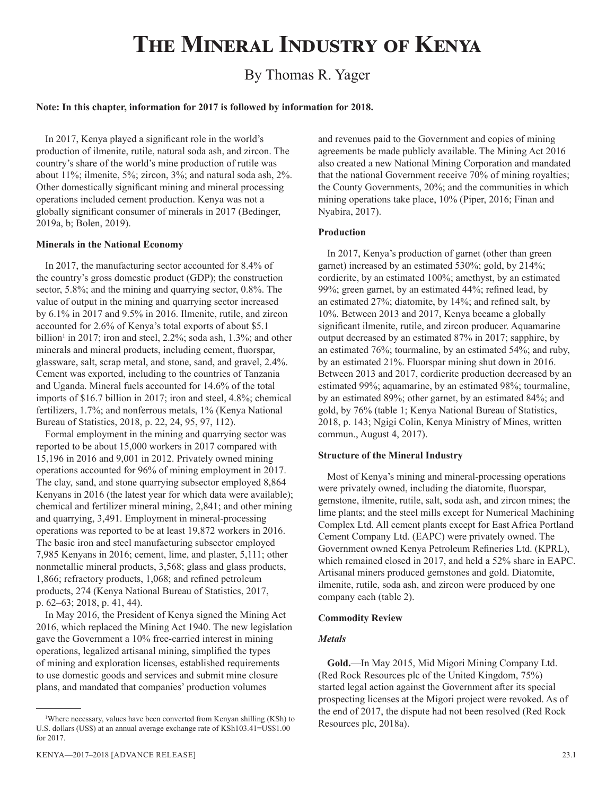# **The Mineral Industry of Kenya**

# By Thomas R. Yager

# **Note: In this chapter, information for 2017 is followed by information for 2018.**

In 2017, Kenya played a significant role in the world's production of ilmenite, rutile, natural soda ash, and zircon. The country's share of the world's mine production of rutile was about 11%; ilmenite, 5%; zircon, 3%; and natural soda ash, 2%. Other domestically significant mining and mineral processing operations included cement production. Kenya was not a globally significant consumer of minerals in 2017 (Bedinger, 2019a, b; Bolen, 2019).

# **Minerals in the National Economy**

In 2017, the manufacturing sector accounted for 8.4% of the country's gross domestic product (GDP); the construction sector, 5.8%; and the mining and quarrying sector, 0.8%. The value of output in the mining and quarrying sector increased by 6.1% in 2017 and 9.5% in 2016. Ilmenite, rutile, and zircon accounted for 2.6% of Kenya's total exports of about \$5.1 billion<sup>1</sup> in 2017; iron and steel, 2.2%; soda ash, 1.3%; and other minerals and mineral products, including cement, fluorspar, glassware, salt, scrap metal, and stone, sand, and gravel, 2.4%. Cement was exported, including to the countries of Tanzania and Uganda. Mineral fuels accounted for 14.6% of the total imports of \$16.7 billion in 2017; iron and steel, 4.8%; chemical fertilizers, 1.7%; and nonferrous metals, 1% (Kenya National Bureau of Statistics, 2018, p. 22, 24, 95, 97, 112).

Formal employment in the mining and quarrying sector was reported to be about 15,000 workers in 2017 compared with 15,196 in 2016 and 9,001 in 2012. Privately owned mining operations accounted for 96% of mining employment in 2017. The clay, sand, and stone quarrying subsector employed 8,864 Kenyans in 2016 (the latest year for which data were available); chemical and fertilizer mineral mining, 2,841; and other mining and quarrying, 3,491. Employment in mineral-processing operations was reported to be at least 19,872 workers in 2016. The basic iron and steel manufacturing subsector employed 7,985 Kenyans in 2016; cement, lime, and plaster, 5,111; other nonmetallic mineral products, 3,568; glass and glass products, 1,866; refractory products, 1,068; and refined petroleum products, 274 (Kenya National Bureau of Statistics, 2017, p. 62–63; 2018, p. 41, 44).

In May 2016, the President of Kenya signed the Mining Act 2016, which replaced the Mining Act 1940. The new legislation gave the Government a 10% free-carried interest in mining operations, legalized artisanal mining, simplified the types of mining and exploration licenses, established requirements to use domestic goods and services and submit mine closure plans, and mandated that companies' production volumes

and revenues paid to the Government and copies of mining agreements be made publicly available. The Mining Act 2016 also created a new National Mining Corporation and mandated that the national Government receive 70% of mining royalties; the County Governments, 20%; and the communities in which mining operations take place, 10% (Piper, 2016; Finan and Nyabira, 2017).

# **Production**

In 2017, Kenya's production of garnet (other than green garnet) increased by an estimated 530%; gold, by 214%; cordierite, by an estimated 100%; amethyst, by an estimated 99%; green garnet, by an estimated 44%; refined lead, by an estimated 27%; diatomite, by 14%; and refined salt, by 10%. Between 2013 and 2017, Kenya became a globally significant ilmenite, rutile, and zircon producer. Aquamarine output decreased by an estimated 87% in 2017; sapphire, by an estimated 76%; tourmaline, by an estimated 54%; and ruby, by an estimated 21%. Fluorspar mining shut down in 2016. Between 2013 and 2017, cordierite production decreased by an estimated 99%; aquamarine, by an estimated 98%; tourmaline, by an estimated 89%; other garnet, by an estimated 84%; and gold, by 76% (table 1; Kenya National Bureau of Statistics, 2018, p. 143; Ngigi Colin, Kenya Ministry of Mines, written commun., August 4, 2017).

## **Structure of the Mineral Industry**

Most of Kenya's mining and mineral-processing operations were privately owned, including the diatomite, fluorspar, gemstone, ilmenite, rutile, salt, soda ash, and zircon mines; the lime plants; and the steel mills except for Numerical Machining Complex Ltd. All cement plants except for East Africa Portland Cement Company Ltd. (EAPC) were privately owned. The Government owned Kenya Petroleum Refineries Ltd. (KPRL), which remained closed in 2017, and held a 52% share in EAPC. Artisanal miners produced gemstones and gold. Diatomite, ilmenite, rutile, soda ash, and zircon were produced by one company each (table 2).

## **Commodity Review**

# *Metals*

**Gold.**—In May 2015, Mid Migori Mining Company Ltd. (Red Rock Resources plc of the United Kingdom, 75%) started legal action against the Government after its special prospecting licenses at the Migori project were revoked. As of the end of 2017, the dispute had not been resolved (Red Rock Resources plc, 2018a).

<sup>1</sup> Where necessary, values have been converted from Kenyan shilling (KSh) to U.S. dollars (US\$) at an annual average exchange rate of KSh103.41=US\$1.00 for 2017.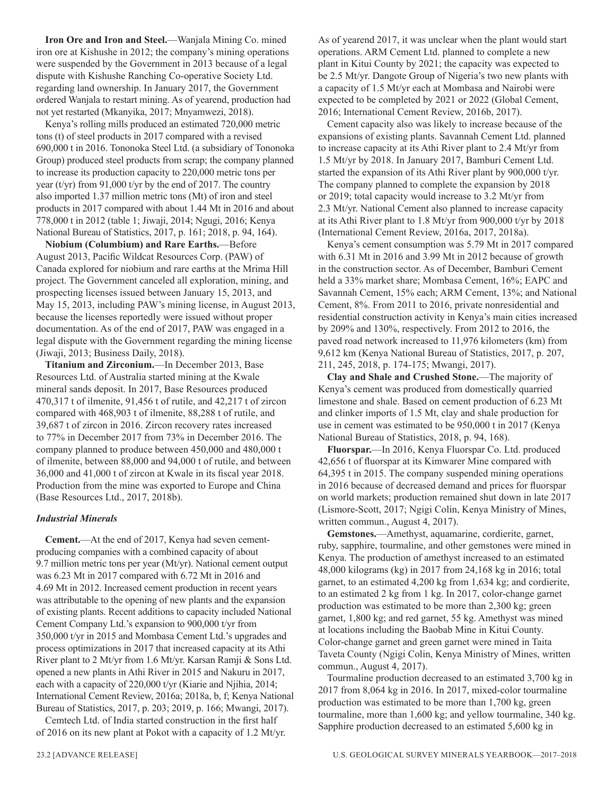**Iron Ore and Iron and Steel.**—Wanjala Mining Co. mined iron ore at Kishushe in 2012; the company's mining operations were suspended by the Government in 2013 because of a legal dispute with Kishushe Ranching Co-operative Society Ltd. regarding land ownership. In January 2017, the Government ordered Wanjala to restart mining. As of yearend, production had not yet restarted (Mkanyika, 2017; Mnyamwezi, 2018).

Kenya's rolling mills produced an estimated 720,000 metric tons (t) of steel products in 2017 compared with a revised 690,000 t in 2016. Tononoka Steel Ltd. (a subsidiary of Tononoka Group) produced steel products from scrap; the company planned to increase its production capacity to 220,000 metric tons per year (t/yr) from 91,000 t/yr by the end of 2017. The country also imported 1.37 million metric tons (Mt) of iron and steel products in 2017 compared with about 1.44 Mt in 2016 and about 778,000 t in 2012 (table 1; Jiwaji, 2014; Ngugi, 2016; Kenya National Bureau of Statistics, 2017, p. 161; 2018, p. 94, 164).

**Niobium (Columbium) and Rare Earths.**—Before August 2013, Pacific Wildcat Resources Corp. (PAW) of Canada explored for niobium and rare earths at the Mrima Hill project. The Government canceled all exploration, mining, and prospecting licenses issued between January 15, 2013, and May 15, 2013, including PAW's mining license, in August 2013, because the licenses reportedly were issued without proper documentation. As of the end of 2017, PAW was engaged in a legal dispute with the Government regarding the mining license (Jiwaji, 2013; Business Daily, 2018).

**Titanium and Zirconium.**—In December 2013, Base Resources Ltd. of Australia started mining at the Kwale mineral sands deposit. In 2017, Base Resources produced 470,317 t of ilmenite, 91,456 t of rutile, and 42,217 t of zircon compared with 468,903 t of ilmenite, 88,288 t of rutile, and 39,687 t of zircon in 2016. Zircon recovery rates increased to 77% in December 2017 from 73% in December 2016. The company planned to produce between 450,000 and 480,000 t of ilmenite, between 88,000 and 94,000 t of rutile, and between 36,000 and 41,000 t of zircon at Kwale in its fiscal year 2018. Production from the mine was exported to Europe and China (Base Resources Ltd., 2017, 2018b).

# *Industrial Minerals*

**Cement.**—At the end of 2017, Kenya had seven cementproducing companies with a combined capacity of about 9.7 million metric tons per year (Mt/yr). National cement output was 6.23 Mt in 2017 compared with 6.72 Mt in 2016 and 4.69 Mt in 2012. Increased cement production in recent years was attributable to the opening of new plants and the expansion of existing plants. Recent additions to capacity included National Cement Company Ltd.'s expansion to 900,000 t/yr from 350,000 t/yr in 2015 and Mombasa Cement Ltd.'s upgrades and process optimizations in 2017 that increased capacity at its Athi River plant to 2 Mt/yr from 1.6 Mt/yr. Karsan Ramji & Sons Ltd. opened a new plants in Athi River in 2015 and Nakuru in 2017, each with a capacity of 220,000 t/yr (Kiarie and Njihia, 2014; International Cement Review, 2016a; 2018a, b, f; Kenya National Bureau of Statistics, 2017, p. 203; 2019, p. 166; Mwangi, 2017).

Cemtech Ltd. of India started construction in the first half of 2016 on its new plant at Pokot with a capacity of 1.2 Mt/yr. As of yearend 2017, it was unclear when the plant would start operations. ARM Cement Ltd. planned to complete a new plant in Kitui County by 2021; the capacity was expected to be 2.5 Mt/yr. Dangote Group of Nigeria's two new plants with a capacity of 1.5 Mt/yr each at Mombasa and Nairobi were expected to be completed by 2021 or 2022 (Global Cement, 2016; International Cement Review, 2016b, 2017).

Cement capacity also was likely to increase because of the expansions of existing plants. Savannah Cement Ltd. planned to increase capacity at its Athi River plant to 2.4 Mt/yr from 1.5 Mt/yr by 2018. In January 2017, Bamburi Cement Ltd. started the expansion of its Athi River plant by 900,000 t/yr. The company planned to complete the expansion by 2018 or 2019; total capacity would increase to 3.2 Mt/yr from 2.3 Mt/yr. National Cement also planned to increase capacity at its Athi River plant to 1.8 Mt/yr from 900,000 t/yr by 2018 (International Cement Review, 2016a, 2017, 2018a).

Kenya's cement consumption was 5.79 Mt in 2017 compared with 6.31 Mt in 2016 and 3.99 Mt in 2012 because of growth in the construction sector. As of December, Bamburi Cement held a 33% market share; Mombasa Cement, 16%; EAPC and Savannah Cement, 15% each; ARM Cement, 13%; and National Cement, 8%. From 2011 to 2016, private nonresidential and residential construction activity in Kenya's main cities increased by 209% and 130%, respectively. From 2012 to 2016, the paved road network increased to 11,976 kilometers (km) from 9,612 km (Kenya National Bureau of Statistics, 2017, p. 207, 211, 245, 2018, p. 174-175; Mwangi, 2017).

**Clay and Shale and Crushed Stone.**—The majority of Kenya's cement was produced from domestically quarried limestone and shale. Based on cement production of 6.23 Mt and clinker imports of 1.5 Mt, clay and shale production for use in cement was estimated to be 950,000 t in 2017 (Kenya National Bureau of Statistics, 2018, p. 94, 168).

**Fluorspar.**—In 2016, Kenya Fluorspar Co. Ltd. produced 42,656 t of fluorspar at its Kimwarer Mine compared with 64,395 t in 2015. The company suspended mining operations in 2016 because of decreased demand and prices for fluorspar on world markets; production remained shut down in late 2017 (Lismore-Scott, 2017; Ngigi Colin, Kenya Ministry of Mines, written commun., August 4, 2017).

**Gemstones.**—Amethyst, aquamarine, cordierite, garnet, ruby, sapphire, tourmaline, and other gemstones were mined in Kenya. The production of amethyst increased to an estimated 48,000 kilograms (kg) in 2017 from 24,168 kg in 2016; total garnet, to an estimated 4,200 kg from 1,634 kg; and cordierite, to an estimated 2 kg from 1 kg. In 2017, color-change garnet production was estimated to be more than 2,300 kg; green garnet, 1,800 kg; and red garnet, 55 kg. Amethyst was mined at locations including the Baobab Mine in Kitui County. Color-change garnet and green garnet were mined in Taita Taveta County (Ngigi Colin, Kenya Ministry of Mines, written commun., August 4, 2017).

Tourmaline production decreased to an estimated 3,700 kg in 2017 from 8,064 kg in 2016. In 2017, mixed-color tourmaline production was estimated to be more than 1,700 kg, green tourmaline, more than 1,600 kg; and yellow tourmaline, 340 kg. Sapphire production decreased to an estimated 5,600 kg in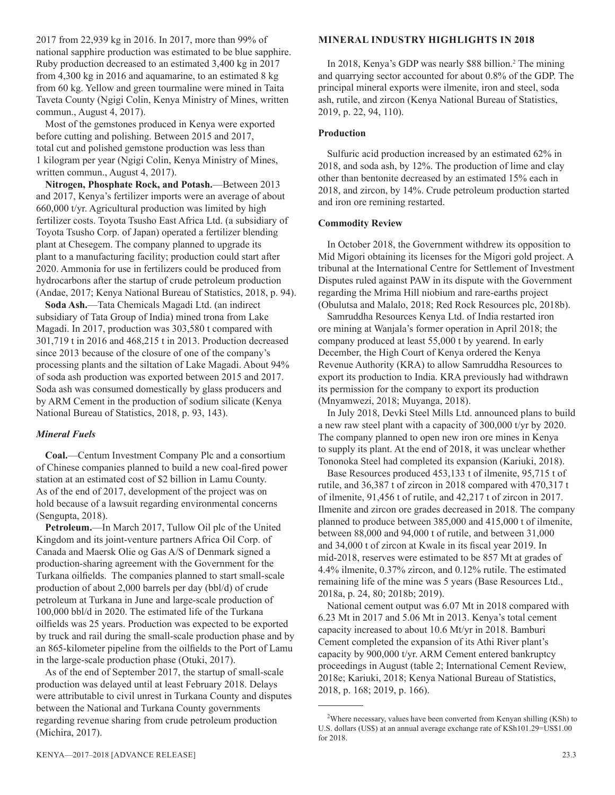2017 from 22,939 kg in 2016. In 2017, more than 99% of national sapphire production was estimated to be blue sapphire. Ruby production decreased to an estimated 3,400 kg in 2017 from 4,300 kg in 2016 and aquamarine, to an estimated 8 kg from 60 kg. Yellow and green tourmaline were mined in Taita Taveta County (Ngigi Colin, Kenya Ministry of Mines, written commun., August 4, 2017).

Most of the gemstones produced in Kenya were exported before cutting and polishing. Between 2015 and 2017, total cut and polished gemstone production was less than 1 kilogram per year (Ngigi Colin, Kenya Ministry of Mines, written commun., August 4, 2017).

**Nitrogen, Phosphate Rock, and Potash.**—Between 2013 and 2017, Kenya's fertilizer imports were an average of about 660,000 t/yr. Agricultural production was limited by high fertilizer costs. Toyota Tsusho East Africa Ltd. (a subsidiary of Toyota Tsusho Corp. of Japan) operated a fertilizer blending plant at Chesegem. The company planned to upgrade its plant to a manufacturing facility; production could start after 2020. Ammonia for use in fertilizers could be produced from hydrocarbons after the startup of crude petroleum production (Andae, 2017; Kenya National Bureau of Statistics, 2018, p. 94).

**Soda Ash.**—Tata Chemicals Magadi Ltd. (an indirect subsidiary of Tata Group of India) mined trona from Lake Magadi. In 2017, production was 303,580 t compared with 301,719 t in 2016 and 468,215 t in 2013. Production decreased since 2013 because of the closure of one of the company's processing plants and the siltation of Lake Magadi. About 94% of soda ash production was exported between 2015 and 2017. Soda ash was consumed domestically by glass producers and by ARM Cement in the production of sodium silicate (Kenya National Bureau of Statistics, 2018, p. 93, 143).

# *Mineral Fuels*

**Coal.**—Centum Investment Company Plc and a consortium of Chinese companies planned to build a new coal-fired power station at an estimated cost of \$2 billion in Lamu County. As of the end of 2017, development of the project was on hold because of a lawsuit regarding environmental concerns (Sengupta, 2018).

**Petroleum.**—In March 2017, Tullow Oil plc of the United Kingdom and its joint-venture partners Africa Oil Corp. of Canada and Maersk Olie og Gas A/S of Denmark signed a production-sharing agreement with the Government for the Turkana oilfields. The companies planned to start small-scale production of about 2,000 barrels per day (bbl/d) of crude petroleum at Turkana in June and large-scale production of 100,000 bbl/d in 2020. The estimated life of the Turkana oilfields was 25 years. Production was expected to be exported by truck and rail during the small-scale production phase and by an 865-kilometer pipeline from the oilfields to the Port of Lamu in the large-scale production phase (Otuki, 2017).

As of the end of September 2017, the startup of small-scale production was delayed until at least February 2018. Delays were attributable to civil unrest in Turkana County and disputes between the National and Turkana County governments regarding revenue sharing from crude petroleum production (Michira, 2017).

# **MINERAL INDUSTRY HIGHLIGHTS IN 2018**

In 2018, Kenya's GDP was nearly \$88 billion.<sup>2</sup> The mining and quarrying sector accounted for about 0.8% of the GDP. The principal mineral exports were ilmenite, iron and steel, soda ash, rutile, and zircon (Kenya National Bureau of Statistics, 2019, p. 22, 94, 110).

# **Production**

Sulfuric acid production increased by an estimated 62% in 2018, and soda ash, by 12%. The production of lime and clay other than bentonite decreased by an estimated 15% each in 2018, and zircon, by 14%. Crude petroleum production started and iron ore remining restarted.

# **Commodity Review**

In October 2018, the Government withdrew its opposition to Mid Migori obtaining its licenses for the Migori gold project. A tribunal at the International Centre for Settlement of Investment Disputes ruled against PAW in its dispute with the Government regarding the Mrima Hill niobium and rare-earths project (Obulutsa and Malalo, 2018; Red Rock Resources plc, 2018b).

Samruddha Resources Kenya Ltd. of India restarted iron ore mining at Wanjala's former operation in April 2018; the company produced at least 55,000 t by yearend. In early December, the High Court of Kenya ordered the Kenya Revenue Authority (KRA) to allow Samruddha Resources to export its production to India. KRA previously had withdrawn its permission for the company to export its production (Mnyamwezi, 2018; Muyanga, 2018).

In July 2018, Devki Steel Mills Ltd. announced plans to build a new raw steel plant with a capacity of 300,000 t/yr by 2020. The company planned to open new iron ore mines in Kenya to supply its plant. At the end of 2018, it was unclear whether Tononoka Steel had completed its expansion (Kariuki, 2018).

Base Resources produced 453,133 t of ilmenite, 95,715 t of rutile, and 36,387 t of zircon in 2018 compared with 470,317 t of ilmenite, 91,456 t of rutile, and 42,217 t of zircon in 2017. Ilmenite and zircon ore grades decreased in 2018. The company planned to produce between 385,000 and 415,000 t of ilmenite, between 88,000 and 94,000 t of rutile, and between 31,000 and 34,000 t of zircon at Kwale in its fiscal year 2019. In mid-2018, reserves were estimated to be 857 Mt at grades of 4.4% ilmenite, 0.37% zircon, and 0.12% rutile. The estimated remaining life of the mine was 5 years (Base Resources Ltd., 2018a, p. 24, 80; 2018b; 2019).

National cement output was 6.07 Mt in 2018 compared with 6.23 Mt in 2017 and 5.06 Mt in 2013. Kenya's total cement capacity increased to about 10.6 Mt/yr in 2018. Bamburi Cement completed the expansion of its Athi River plant's capacity by 900,000 t/yr. ARM Cement entered bankruptcy proceedings in August (table 2; International Cement Review, 2018e; Kariuki, 2018; Kenya National Bureau of Statistics, 2018, p. 168; 2019, p. 166).

<sup>&</sup>lt;sup>2</sup>Where necessary, values have been converted from Kenyan shilling (KSh) to U.S. dollars (US\$) at an annual average exchange rate of KSh101.29=US\$1.00 for 2018.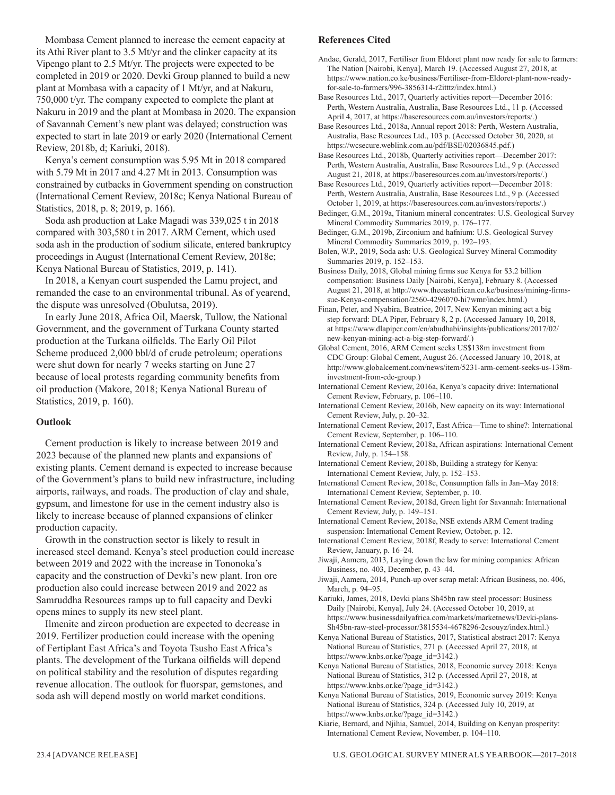Mombasa Cement planned to increase the cement capacity at its Athi River plant to 3.5 Mt/yr and the clinker capacity at its Vipengo plant to 2.5 Mt/yr. The projects were expected to be completed in 2019 or 2020. Devki Group planned to build a new plant at Mombasa with a capacity of 1 Mt/yr, and at Nakuru, 750,000 t/yr. The company expected to complete the plant at Nakuru in 2019 and the plant at Mombasa in 2020. The expansion of Savannah Cement's new plant was delayed; construction was expected to start in late 2019 or early 2020 (International Cement Review, 2018b, d; Kariuki, 2018).

Kenya's cement consumption was 5.95 Mt in 2018 compared with 5.79 Mt in 2017 and 4.27 Mt in 2013. Consumption was constrained by cutbacks in Government spending on construction (International Cement Review, 2018c; Kenya National Bureau of Statistics, 2018, p. 8; 2019, p. 166).

Soda ash production at Lake Magadi was 339,025 t in 2018 compared with 303,580 t in 2017. ARM Cement, which used soda ash in the production of sodium silicate, entered bankruptcy proceedings in August (International Cement Review, 2018e; Kenya National Bureau of Statistics, 2019, p. 141).

In 2018, a Kenyan court suspended the Lamu project, and remanded the case to an environmental tribunal. As of yearend, the dispute was unresolved (Obulutsa, 2019).

In early June 2018, Africa Oil, Maersk, Tullow, the National Government, and the government of Turkana County started production at the Turkana oilfields. The Early Oil Pilot Scheme produced 2,000 bbl/d of crude petroleum; operations were shut down for nearly 7 weeks starting on June 27 because of local protests regarding community benefits from oil production (Makore, 2018; Kenya National Bureau of Statistics, 2019, p. 160).

# **Outlook**

Cement production is likely to increase between 2019 and 2023 because of the planned new plants and expansions of existing plants. Cement demand is expected to increase because of the Government's plans to build new infrastructure, including airports, railways, and roads. The production of clay and shale, gypsum, and limestone for use in the cement industry also is likely to increase because of planned expansions of clinker production capacity.

Growth in the construction sector is likely to result in increased steel demand. Kenya's steel production could increase between 2019 and 2022 with the increase in Tononoka's capacity and the construction of Devki's new plant. Iron ore production also could increase between 2019 and 2022 as Samruddha Resources ramps up to full capacity and Devki opens mines to supply its new steel plant.

Ilmenite and zircon production are expected to decrease in 2019. Fertilizer production could increase with the opening of Fertiplant East Africa's and Toyota Tsusho East Africa's plants. The development of the Turkana oilfields will depend on political stability and the resolution of disputes regarding revenue allocation. The outlook for fluorspar, gemstones, and soda ash will depend mostly on world market conditions.

# **References Cited**

Andae, Gerald, 2017, Fertiliser from Eldoret plant now ready for sale to farmers: The Nation [Nairobi, Kenya], March 19. (Accessed August 27, 2018, at https://www.nation.co.ke/business/Fertiliser-from-Eldoret-plant-now-readyfor-sale-to-farmers/996-3856314-r2itttz/index.html.)

Base Resources Ltd., 2017, Quarterly activities report—December 2016: Perth, Western Australia, Australia, Base Resources Ltd., 11 p. (Accessed April 4, 2017, at https://baseresources.com.au/investors/reports/.)

Base Resources Ltd., 2018a, Annual report 2018: Perth, Western Australia, Australia, Base Resources Ltd., 103 p. (Accessed October 30, 2020, at https://wcsecure.weblink.com.au/pdf/BSE/02036845.pdf.)

Base Resources Ltd., 2018b, Quarterly activities report—December 2017: Perth, Western Australia, Australia, Base Resources Ltd., 9 p. (Accessed August 21, 2018, at https://baseresources.com.au/investors/reports/.)

Base Resources Ltd., 2019, Quarterly activities report—December 2018: Perth, Western Australia, Australia, Base Resources Ltd., 9 p. (Accessed October 1, 2019, at https://baseresources.com.au/investors/reports/.)

Bedinger, G.M., 2019a, Titanium mineral concentrates: U.S. Geological Survey Mineral Commodity Summaries 2019, p. 176–177.

Bedinger, G.M., 2019b, Zirconium and hafnium: U.S. Geological Survey Mineral Commodity Summaries 2019, p. 192–193.

Bolen, W.P., 2019, Soda ash: U.S. Geological Survey Mineral Commodity Summaries 2019, p. 152–153.

Business Daily, 2018, Global mining firms sue Kenya for \$3.2 billion compensation: Business Daily [Nairobi, Kenya], February 8. (Accessed August 21, 2018, at http://www.theeastafrican.co.ke/business/mining-firmssue-Kenya-compensation/2560-4296070-hi7wmr/index.html.)

Finan, Peter, and Nyabira, Beatrice, 2017, New Kenyan mining act a big step forward: DLA Piper, February 8, 2 p. (Accessed January 10, 2018, at https://www.dlapiper.com/en/abudhabi/insights/publications/2017/02/ new-kenyan-mining-act-a-big-step-forward/.)

Global Cement, 2016, ARM Cement seeks US\$138m investment from CDC Group: Global Cement, August 26. (Accessed January 10, 2018, at http://www.globalcement.com/news/item/5231-arm-cement-seeks-us-138minvestment-from-cdc-group.)

International Cement Review, 2016a, Kenya's capacity drive: International Cement Review, February, p. 106–110.

International Cement Review, 2016b, New capacity on its way: International Cement Review, July, p. 20–32.

International Cement Review, 2017, East Africa—Time to shine?: International Cement Review, September, p. 106–110.

International Cement Review, 2018a, African aspirations: International Cement Review, July, p. 154–158.

International Cement Review, 2018b, Building a strategy for Kenya: International Cement Review, July, p. 152–153.

International Cement Review, 2018c, Consumption falls in Jan–May 2018: International Cement Review, September, p. 10.

International Cement Review, 2018d, Green light for Savannah: International Cement Review, July, p. 149–151.

International Cement Review, 2018e, NSE extends ARM Cement trading suspension: International Cement Review, October, p. 12.

International Cement Review, 2018f, Ready to serve: International Cement Review, January, p. 16–24.

Jiwaji, Aamera, 2013, Laying down the law for mining companies: African Business, no. 403, December, p. 43–44.

Jiwaji, Aamera, 2014, Punch-up over scrap metal: African Business, no. 406, March, p. 94–95.

Kariuki, James, 2018, Devki plans Sh45bn raw steel processor: Business Daily [Nairobi, Kenya], July 24. (Accessed October 10, 2019, at https://www.businessdailyafrica.com/markets/marketnews/Devki-plans-Sh45bn-raw-steel-processor/3815534-4678296-2csouyz/index.html.)

Kenya National Bureau of Statistics, 2017, Statistical abstract 2017: Kenya National Bureau of Statistics, 271 p. (Accessed April 27, 2018, at https://www.knbs.or.ke/?page\_id=3142.)

Kenya National Bureau of Statistics, 2018, Economic survey 2018: Kenya National Bureau of Statistics, 312 p. (Accessed April 27, 2018, at https://www.knbs.or.ke/?page\_id=3142.)

Kenya National Bureau of Statistics, 2019, Economic survey 2019: Kenya National Bureau of Statistics, 324 p. (Accessed July 10, 2019, at https://www.knbs.or.ke/?page\_id=3142.)

Kiarie, Bernard, and Njihia, Samuel, 2014, Building on Kenyan prosperity: International Cement Review, November, p. 104–110.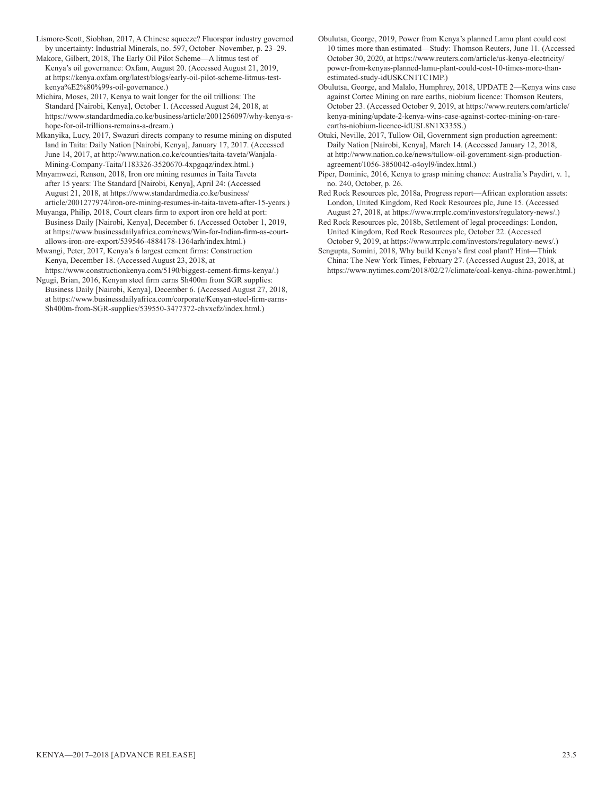Lismore-Scott, Siobhan, 2017, A Chinese squeeze? Fluorspar industry governed by uncertainty: Industrial Minerals, no. 597, October–November, p. 23–29.

Makore, Gilbert, 2018, The Early Oil Pilot Scheme—A litmus test of Kenya's oil governance: Oxfam, August 20. (Accessed August 21, 2019, at https://kenya.oxfam.org/latest/blogs/early-oil-pilot-scheme-litmus-testkenya%E2%80%99s-oil-governance.)

Michira, Moses, 2017, Kenya to wait longer for the oil trillions: The Standard [Nairobi, Kenya], October 1. (Accessed August 24, 2018, at https://www.standardmedia.co.ke/business/article/2001256097/why-kenya-shope-for-oil-trillions-remains-a-dream.)

Mkanyika, Lucy, 2017, Swazuri directs company to resume mining on disputed land in Taita: Daily Nation [Nairobi, Kenya], January 17, 2017. (Accessed June 14, 2017, at http://www.nation.co.ke/counties/taita-taveta/Wanjala-Mining-Company-Taita/1183326-3520670-4xpgaqz/index.html.)

Mnyamwezi, Renson, 2018, Iron ore mining resumes in Taita Taveta after 15 years: The Standard [Nairobi, Kenya], April 24: (Accessed August 21, 2018, at https://www.standardmedia.co.ke/business/ article/2001277974/iron-ore-mining-resumes-in-taita-taveta-after-15-years.)

Muyanga, Philip, 2018, Court clears firm to export iron ore held at port: Business Daily [Nairobi, Kenya], December 6. (Accessed October 1, 2019, at https://www.businessdailyafrica.com/news/Win-for-Indian-firm-as-courtallows-iron-ore-export/539546-4884178-1364arh/index.html.)

Mwangi, Peter, 2017, Kenya's 6 largest cement firms: Construction Kenya, December 18. (Accessed August 23, 2018, at

https://www.constructionkenya.com/5190/biggest-cement-firms-kenya/.) Ngugi, Brian, 2016, Kenyan steel firm earns Sh400m from SGR supplies:

Business Daily [Nairobi, Kenya], December 6. (Accessed August 27, 2018, at https://www.businessdailyafrica.com/corporate/Kenyan-steel-firm-earns-Sh400m-from-SGR-supplies/539550-3477372-chvxcfz/index.html.)

Obulutsa, George, 2019, Power from Kenya's planned Lamu plant could cost 10 times more than estimated—Study: Thomson Reuters, June 11. (Accessed October 30, 2020, at https://www.reuters.com/article/us-kenya-electricity/ power-from-kenyas-planned-lamu-plant-could-cost-10-times-more-thanestimated-study-idUSKCN1TC1MP.)

Obulutsa, George, and Malalo, Humphrey, 2018, UPDATE 2—Kenya wins case against Cortec Mining on rare earths, niobium licence: Thomson Reuters, October 23. (Accessed October 9, 2019, at https://www.reuters.com/article/ kenya-mining/update-2-kenya-wins-case-against-cortec-mining-on-rareearths-niobium-licence-idUSL8N1X335S.)

Otuki, Neville, 2017, Tullow Oil, Government sign production agreement: Daily Nation [Nairobi, Kenya], March 14. (Accessed January 12, 2018, at http://www.nation.co.ke/news/tullow-oil-government-sign-productionagreement/1056-3850042-o4oyl9/index.html.)

Piper, Dominic, 2016, Kenya to grasp mining chance: Australia's Paydirt, v. 1, no. 240, October, p. 26.

Red Rock Resources plc, 2018a, Progress report—African exploration assets: London, United Kingdom, Red Rock Resources plc, June 15. (Accessed August 27, 2018, at https://www.rrrplc.com/investors/regulatory-news/.)

Red Rock Resources plc, 2018b, Settlement of legal proceedings: London, United Kingdom, Red Rock Resources plc, October 22. (Accessed October 9, 2019, at https://www.rrrplc.com/investors/regulatory-news/.)

Sengupta, Somini, 2018, Why build Kenya's first coal plant? Hint—Think China: The New York Times, February 27. (Accessed August 23, 2018, at https://www.nytimes.com/2018/02/27/climate/coal-kenya-china-power.html.)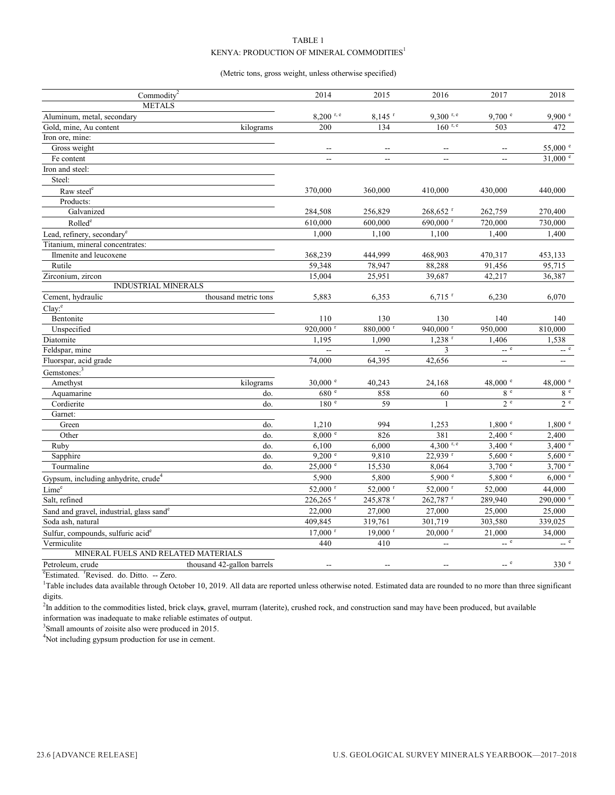# TABLE 1 KENYA: PRODUCTION OF MINERAL COMMODITIES<sup>1</sup>

## (Metric tons, gross weight, unless otherwise specified)

| Commodity <sup>2</sup>                               |                            | 2014                     | 2015                     | 2016                    | 2017                     | 2018              |
|------------------------------------------------------|----------------------------|--------------------------|--------------------------|-------------------------|--------------------------|-------------------|
| <b>METALS</b>                                        |                            |                          |                          |                         |                          |                   |
| Aluminum, metal, secondary                           |                            | $8,200$ r, e             | $8,145$ <sup>r</sup>     | $9,300$ <sup>r, e</sup> | 9,700 °                  | 9,900 °           |
| Gold, mine, Au content                               | kilograms                  | 200                      | 134                      | $160$ r, e              | 503                      | 472               |
| Iron ore, mine:                                      |                            |                          |                          |                         |                          |                   |
| Gross weight                                         |                            | $\sim$                   | $\sim$                   |                         | $-$                      | 55,000 $^{\circ}$ |
| Fe content                                           |                            | $\overline{\phantom{a}}$ | $\overline{a}$           | $\sim$                  | $\overline{\phantom{0}}$ | $31,000$ e        |
| Iron and steel:                                      |                            |                          |                          |                         |                          |                   |
| Steel:                                               |                            |                          |                          |                         |                          |                   |
| Raw steel <sup>e</sup>                               |                            | 370,000                  | 360,000                  | 410,000                 | 430,000                  | 440,000           |
| Products:                                            |                            |                          |                          |                         |                          |                   |
| Galvanized                                           |                            | 284,508                  | 256,829                  | $268,652$ <sup>r</sup>  | 262,759                  | 270,400           |
| Rolled <sup>e</sup>                                  |                            | 610,000                  | 600,000                  | 690,000 <sup>r</sup>    | 720,000                  | 730,000           |
| Lead, refinery, secondary <sup>e</sup>               |                            | 1,000                    | 1,100                    | 1,100                   | 1,400                    | 1,400             |
| Titanium, mineral concentrates:                      |                            |                          |                          |                         |                          |                   |
| Ilmenite and leucoxene                               |                            | 368,239                  | 444,999                  | 468,903                 | 470,317                  | 453,133           |
| Rutile                                               |                            | 59,348                   | 78,947                   | 88,288                  | 91,456                   | 95,715            |
| Zirconium, zircon                                    |                            | 15,004                   | 25,951                   | 39,687                  | 42,217                   | 36,387            |
| <b>INDUSTRIAL MINERALS</b>                           |                            |                          |                          |                         |                          |                   |
| Cement, hydraulic                                    | thousand metric tons       | 5,883                    | 6,353                    | $6,715$ <sup>r</sup>    | 6,230                    | 6,070             |
| $Clay$ <sup>e</sup>                                  |                            |                          |                          |                         |                          |                   |
| Bentonite                                            |                            | 110                      | 130                      | 130                     | 140                      | 140               |
| Unspecified                                          |                            | 920,000 $r$              | 880,000 r                | 940,000 r               | 950,000                  | 810,000           |
| Diatomite                                            |                            | 1,195                    | 1,090                    | $1,238$ <sup>r</sup>    | 1,406                    | 1,538             |
| Feldspar, mine                                       |                            |                          | $\overline{\phantom{a}}$ | 3                       | $-$ e                    | $-$ e             |
| Fluorspar, acid grade                                |                            | 74,000                   | 64,395                   | 42,656                  | ш.                       | н.                |
| Gemstones: <sup>3</sup>                              |                            |                          |                          |                         |                          |                   |
| Amethyst                                             | kilograms                  | $30,000$ $\degree$       | 40,243                   | 24,168                  | 48,000 $^{\circ}$        | 48,000 $^{\circ}$ |
| Aquamarine                                           | do.                        | 680 e                    | 858                      | 60                      | 8e                       | 8e                |
| Cordierite                                           | do.                        | 180 e                    | 59                       | $\mathbf{1}$            | 2e                       | 2e                |
| Garnet:                                              |                            |                          |                          |                         |                          |                   |
| Green                                                | do.                        | 1,210                    | 994                      | 1,253                   | 1,800 °                  | 1,800 °           |
| Other                                                | do.                        | 8,000 °                  | 826                      | 381                     | $2,400$ $\degree$        | 2,400             |
| Ruby                                                 | do.                        | 6,100                    | 6,000                    | $4,300$ <sup>r, e</sup> | $3,400$ e                | $3,400$ e         |
| Sapphire                                             | do.                        | 9,200 °                  | 9,810                    | 22,939 r                | 5,600 °                  | 5,600 °           |
| Tourmaline                                           | do.                        | 25,000 °                 | 15,530                   | 8,064                   | $3,700$ $^{\circ}$       | $3,700$ e         |
| Gypsum, including anhydrite, crude <sup>4</sup>      |                            | 5,900                    | 5,800                    | 5,900 °                 | 5,800 °                  | 6,000 °           |
| Lime <sup>e</sup>                                    |                            | 52,000 r                 | 52,000 r                 | 52,000 r                | 52,000                   | 44,000            |
| Salt, refined                                        |                            | 226,265 r                | 245,878 r                | 262,787 r               | 289,940                  | 290,000 e         |
| Sand and gravel, industrial, glass sand <sup>e</sup> |                            | 22,000                   | 27,000                   | 27,000                  | 25,000                   | 25,000            |
| Soda ash, natural                                    |                            | 409,845                  | 319,761                  | 301,719                 | 303,580                  | 339,025           |
| Sulfur, compounds, sulfuric acid <sup>e</sup>        |                            | $17,000$ <sup>r</sup>    | $19,000$ <sup>r</sup>    | $20,000$ <sup>r</sup>   | 21,000                   | 34,000            |
| Vermiculite                                          |                            | 440                      | 410                      |                         | $\sim$ e                 | $\sim$ e          |
| MINERAL FUELS AND RELATED MATERIALS                  |                            |                          |                          |                         |                          |                   |
| Petroleum, crude                                     | thousand 42-gallon barrels |                          |                          |                         | $-$ e                    | 330 <sup>e</sup>  |
|                                                      |                            |                          |                          |                         |                          |                   |

<sup>e</sup>Estimated. <sup>r</sup>Revised. do. Ditto. -- Zero.

<sup>1</sup>Table includes data available through October 10, 2019. All data are reported unless otherwise noted. Estimated data are rounded to no more than three significant digits.

<sup>2</sup>In addition to the commodities listed, brick clays, gravel, murram (laterite), crushed rock, and construction sand may have been produced, but available information was inadequate to make reliable estimates of output.

<sup>3</sup>Small amounts of zoisite also were produced in 2015.

<sup>4</sup>Not including gypsum production for use in cement.